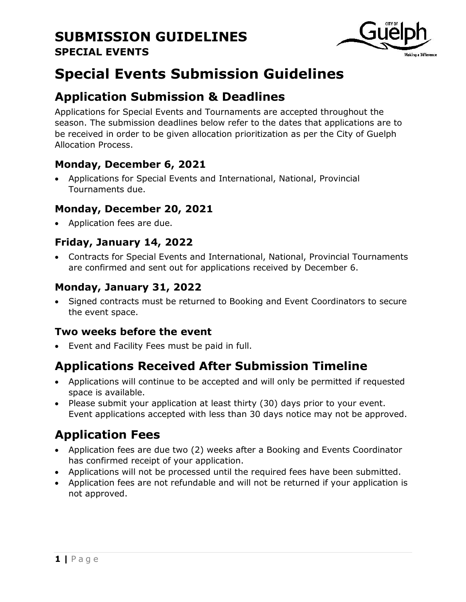

# **Special Events Submission Guidelines**

### **Application Submission & Deadlines**

Applications for Special Events and Tournaments are accepted throughout the season. The submission deadlines below refer to the dates that applications are to be received in order to be given allocation prioritization as per the City of Guelph Allocation Process.

### **Monday, December 6, 2021**

 Applications for Special Events and International, National, Provincial Tournaments due.

#### **Monday, December 20, 2021**

Application fees are due.

### **Friday, January 14, 2022**

 Contracts for Special Events and International, National, Provincial Tournaments are confirmed and sent out for applications received by December 6.

### **Monday, January 31, 2022**

• Signed contracts must be returned to Booking and Event Coordinators to secure the event space.

### **Two weeks before the event**

Event and Facility Fees must be paid in full.

## **Applications Received After Submission Timeline**

- Applications will continue to be accepted and will only be permitted if requested space is available.
- Please submit your application at least thirty (30) days prior to your event. Event applications accepted with less than 30 days notice may not be approved.

## **Application Fees**

- Application fees are due two (2) weeks after a Booking and Events Coordinator has confirmed receipt of your application.
- Applications will not be processed until the required fees have been submitted.
- Application fees are not refundable and will not be returned if your application is not approved.